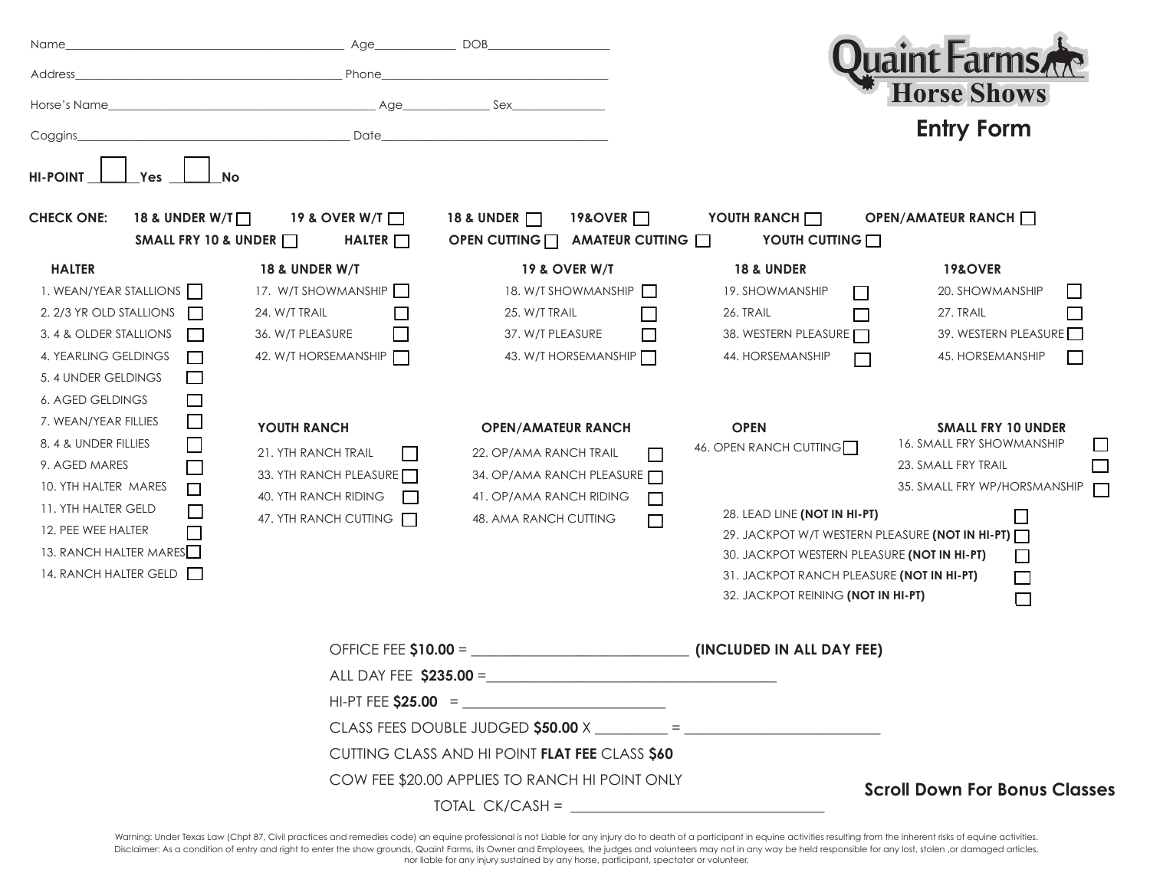| Name                                                                                                                                                                                                                                                                                                                                                                                                                                                    | Age_                                                                                                                                                                                                                                                               | <b>DOB</b>                                                                                                                                                                                                                                                                                    |                                                                                                                                                                                                                                                                                                                                                                                                     |                                                                                                                                                                                                                                                                                                      |
|---------------------------------------------------------------------------------------------------------------------------------------------------------------------------------------------------------------------------------------------------------------------------------------------------------------------------------------------------------------------------------------------------------------------------------------------------------|--------------------------------------------------------------------------------------------------------------------------------------------------------------------------------------------------------------------------------------------------------------------|-----------------------------------------------------------------------------------------------------------------------------------------------------------------------------------------------------------------------------------------------------------------------------------------------|-----------------------------------------------------------------------------------------------------------------------------------------------------------------------------------------------------------------------------------------------------------------------------------------------------------------------------------------------------------------------------------------------------|------------------------------------------------------------------------------------------------------------------------------------------------------------------------------------------------------------------------------------------------------------------------------------------------------|
| Address                                                                                                                                                                                                                                                                                                                                                                                                                                                 | Phone                                                                                                                                                                                                                                                              |                                                                                                                                                                                                                                                                                               |                                                                                                                                                                                                                                                                                                                                                                                                     | luaint Farms                                                                                                                                                                                                                                                                                         |
| Horse's Name                                                                                                                                                                                                                                                                                                                                                                                                                                            | Age                                                                                                                                                                                                                                                                | Sex                                                                                                                                                                                                                                                                                           |                                                                                                                                                                                                                                                                                                                                                                                                     | <b>Horse Shows</b>                                                                                                                                                                                                                                                                                   |
| Coggins_                                                                                                                                                                                                                                                                                                                                                                                                                                                | Date                                                                                                                                                                                                                                                               |                                                                                                                                                                                                                                                                                               |                                                                                                                                                                                                                                                                                                                                                                                                     | <b>Entry Form</b>                                                                                                                                                                                                                                                                                    |
| <b>HI-POINT</b><br>Yes<br><b>No</b>                                                                                                                                                                                                                                                                                                                                                                                                                     |                                                                                                                                                                                                                                                                    |                                                                                                                                                                                                                                                                                               |                                                                                                                                                                                                                                                                                                                                                                                                     |                                                                                                                                                                                                                                                                                                      |
| 18 & UNDER W/T<br><b>CHECK ONE:</b><br>SMALL FRY 10 & UNDER                                                                                                                                                                                                                                                                                                                                                                                             | 19 & OVER W/T<br>HALTER $\Box$                                                                                                                                                                                                                                     | 18 & UNDER <b>D</b><br>19&OVER <sup>1</sup><br>AMATEUR CUTTING<br>OPEN CUTTING $\Box$                                                                                                                                                                                                         | YOUTH RANCH O<br>YOUTH CUTTING                                                                                                                                                                                                                                                                                                                                                                      | OPEN/AMATEUR RANCH                                                                                                                                                                                                                                                                                   |
| <b>HALTER</b><br>1. WEAN/YEAR STALLIONS<br>2. 2/3 YR OLD STALLIONS<br>$\Box$<br>3.4 & OLDER STALLIONS<br>4. YEARLING GELDINGS<br>5.4 UNDER GELDINGS<br>$\overline{\phantom{a}}$<br>6. AGED GELDINGS<br>$\Box$<br>7. WEAN/YEAR FILLIES<br>$\Box$<br>8.4 & UNDER FILLIES<br>$\Box$<br>9. AGED MARES<br>10. YTH HALTER MARES<br>$\Box$<br>11. YTH HALTER GELD<br>$\Box$<br>12. PEE WEE HALTER<br>$\Box$<br>13. RANCH HALTER MARES<br>14. RANCH HALTER GELD | <b>18 &amp; UNDER W/T</b><br>17. W/T SHOWMANSHIP<br>24. W/T TRAIL<br>П<br>36. W/T PLEASURE<br>42. W/T HORSEMANSHIP<br>YOUTH RANCH<br>21. YTH RANCH TRAIL<br><b>Tara</b><br>33. YTH RANCH PLEASURE<br>40. YTH RANCH RIDING<br>$\mathbf{I}$<br>47. YTH RANCH CUTTING | <b>19 &amp; OVER W/T</b><br>18. W/T SHOWMANSHIP<br>25. W/T TRAIL<br>37. W/T PLEASURE<br>$\mathsf{L}$<br>43. W/T HORSEMANSHIP<br><b>OPEN/AMATEUR RANCH</b><br>22. OP/AMA RANCH TRAIL<br>П<br>34. OP/AMA RANCH PLEASURE<br>41. OP/AMA RANCH RIDING<br>$\Box$<br>48. AMA RANCH CUTTING<br>$\Box$ | <b>18 &amp; UNDER</b><br>19. SHOWMANSHIP<br>$\mathbf{L}$<br>26. TRAIL<br>$\Box$<br>38. WESTERN PLEASURE<br>44. HORSEMANSHIP<br>$\Box$<br><b>OPEN</b><br>46. OPEN RANCH CUTTING<br>28. LEAD LINE (NOT IN HI-PT)<br>29. JACKPOT W/T WESTERN PLEASURE (NOT IN HI-PT)<br>30. JACKPOT WESTERN PLEASURE (NOT IN HI-PT)<br>31. JACKPOT RANCH PLEASURE (NOT IN HI-PT)<br>32. JACKPOT REINING (NOT IN HI-PT) | <b>19&amp;OVER</b><br>20. SHOWMANSHIP<br>$\Box$<br>27. TRAIL<br>$\Box$<br>39. WESTERN PLEASURE<br>45. HORSEMANSHIP<br>$\Box$<br><b>SMALL FRY 10 UNDER</b><br>16. SMALL FRY SHOWMANSHIP<br>ப<br>23. SMALL FRY TRAIL<br>35. SMALL FRY WP/HORSMANSHIP<br>$\Box$<br>$\Box$<br>$\Box$<br>$\Box$<br>$\Box$ |
|                                                                                                                                                                                                                                                                                                                                                                                                                                                         | OFFICE FEE $$10.00 =$<br>ALL DAY FEE \$235.00 =<br>$HI-PT FEE$ \$25.00 =<br>CUTTING CLASS AND HI POINT FLAT FEE CLASS \$60                                                                                                                                         |                                                                                                                                                                                                                                                                                               | (INCLUDED IN ALL DAY FEE)                                                                                                                                                                                                                                                                                                                                                                           |                                                                                                                                                                                                                                                                                                      |
|                                                                                                                                                                                                                                                                                                                                                                                                                                                         |                                                                                                                                                                                                                                                                    |                                                                                                                                                                                                                                                                                               |                                                                                                                                                                                                                                                                                                                                                                                                     |                                                                                                                                                                                                                                                                                                      |
|                                                                                                                                                                                                                                                                                                                                                                                                                                                         |                                                                                                                                                                                                                                                                    |                                                                                                                                                                                                                                                                                               |                                                                                                                                                                                                                                                                                                                                                                                                     |                                                                                                                                                                                                                                                                                                      |
|                                                                                                                                                                                                                                                                                                                                                                                                                                                         |                                                                                                                                                                                                                                                                    |                                                                                                                                                                                                                                                                                               |                                                                                                                                                                                                                                                                                                                                                                                                     |                                                                                                                                                                                                                                                                                                      |
|                                                                                                                                                                                                                                                                                                                                                                                                                                                         |                                                                                                                                                                                                                                                                    |                                                                                                                                                                                                                                                                                               |                                                                                                                                                                                                                                                                                                                                                                                                     |                                                                                                                                                                                                                                                                                                      |
| COW FEE \$20.00 APPLIES TO RANCH HI POINT ONLY                                                                                                                                                                                                                                                                                                                                                                                                          |                                                                                                                                                                                                                                                                    |                                                                                                                                                                                                                                                                                               | <b>Scroll Down For Bonus Classes</b>                                                                                                                                                                                                                                                                                                                                                                |                                                                                                                                                                                                                                                                                                      |
|                                                                                                                                                                                                                                                                                                                                                                                                                                                         |                                                                                                                                                                                                                                                                    |                                                                                                                                                                                                                                                                                               |                                                                                                                                                                                                                                                                                                                                                                                                     |                                                                                                                                                                                                                                                                                                      |

Warning: Under Texas Law (Chpt 87, Civil practices and remedies code) an equine professional is not Liable for any injury do to death of a participant in equine activities resulting from the inherent risks of equine activi Disclaimer: As a condition of entry and right to enter the show grounds, Quaint Farms, its Owner and Employees, the judges and volunteers may not in any way be held responsible for any lost, stolen ,or damaged articles, nor liable for any injury sustained by any horse, participant, spectator or volunteer.